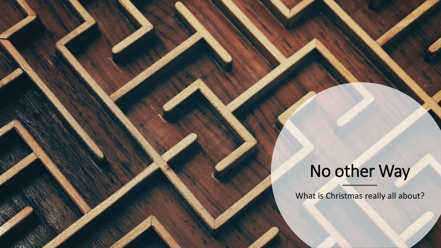#### No other Way

What is Christmas really all about?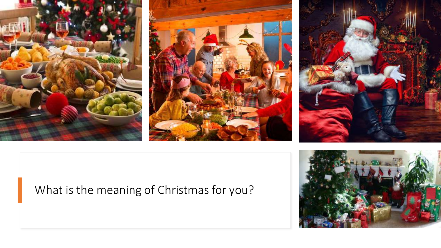





#### What is the meaning of Christmas for you?

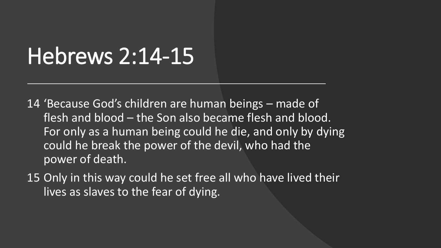## Hebrews 2:14-15

- 14 'Because God's children are human beings made of flesh and blood – the Son also became flesh and blood. For only as a human being could he die, and only by dying could he break the power of the devil, who had the power of death.
- 15 Only in this way could he set free all who have lived their lives as slaves to the fear of dying.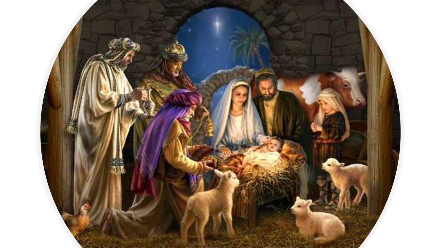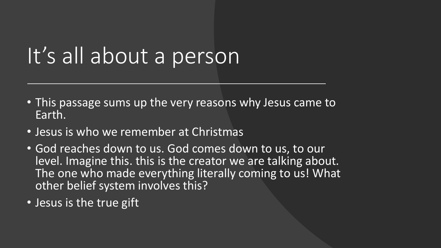# It's all about a person

- This passage sums up the very reasons why Jesus came to Earth.
- Jesus is who we remember at Christmas
- God reaches down to us. God comes down to us, to our level. Imagine this. this is the creator we are talking about. The one who made everything literally coming to us! What other belief system involves this?
- Jesus is the true gift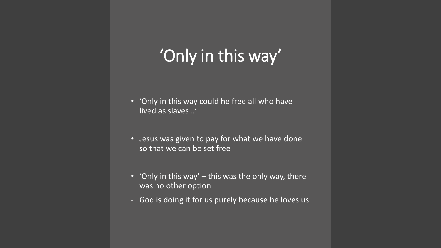#### 'Only in this way'

- 'Only in this way could he free all who have lived as slaves…'
- Jesus was given to pay for what we have done so that we can be set free
- 'Only in this way' this was the only way, there was no other option
- God is doing it for us purely because he loves us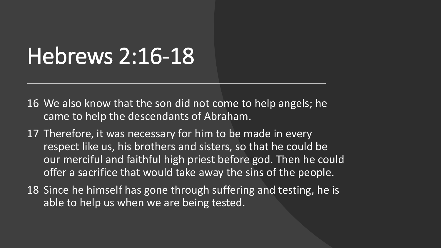# Hebrews 2:16-18

16 We also know that the son did not come to help angels; he came to help the descendants of Abraham.

- 17 Therefore, it was necessary for him to be made in every respect like us, his brothers and sisters, so that he could be our merciful and faithful high priest before god. Then he could offer a sacrifice that would take away the sins of the people.
- 18 Since he himself has gone through suffering and testing, he is able to help us when we are being tested.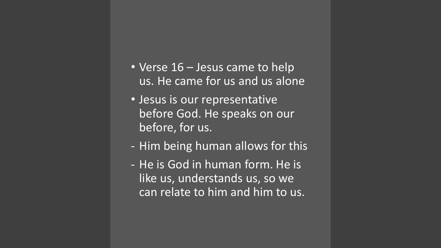- Verse 16 Jesus came to help us. He came for us and us alone
- Jesus is our representative before God. He speaks on our before, for us.
- Him being human allows for this
- He is God in human form. He is like us, understands us, so we can relate to him and him to us.